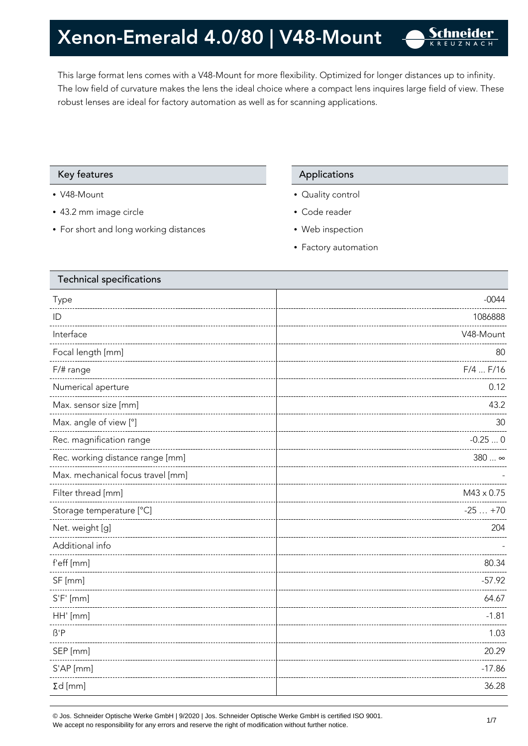This large format lens comes with a V48-Mount for more flexibility. Optimized for longer distances up to infinity. The low field of curvature makes the lens the ideal choice where a compact lens inquires large field of view. These robust lenses are ideal for factory automation as well as for scanning applications.

#### Key features **Applications** Applications

- V48-Mount
- 43.2 mm image circle
- For short and long working distances

- Quality control
- Code reader
- Web inspection
- Factory automation

| <b>Technical specifications</b>   |                   |
|-----------------------------------|-------------------|
| Type                              | $-0044$           |
| ID                                | 1086888           |
| Interface                         | V48-Mount         |
| Focal length [mm]                 | 80                |
| F/# range                         | $F/4$ $F/16$      |
| Numerical aperture                | 0.12              |
| Max. sensor size [mm]             | 43.2              |
| Max. angle of view [°]            | 30                |
| Rec. magnification range          | $-0.250$          |
| Rec. working distance range [mm]  | 380  ∞            |
| Max. mechanical focus travel [mm] |                   |
| Filter thread [mm]                | $M43 \times 0.75$ |
| Storage temperature [°C]          | $-25+70$          |
| Net. weight [g]                   | 204               |
| Additional info                   |                   |
| f'eff [mm]                        | 80.34             |
| SF [mm]                           | $-57.92$          |
| $S'F'$ [mm]                       | 64.67             |
| HH' [mm]                          | $-1.81$           |
| $\beta$ 'P                        | 1.03              |
| SEP [mm]                          | 20.29             |
| S'AP [mm]                         | $-17.86$          |
| $\Sigma d$ [mm]                   | 36.28             |
|                                   |                   |

© Jos. Schneider Optische Werke GmbH | 9/2020 | Jos. Schneider Optische Werke GmbH is certified ISO 9001.  $\bullet$  Jos. Schneider Optiscrie werke Grillon | 9/2020 | Jos. Schneider Optiscrie werke Grillon is certified iSO 9001.<br>We accept no responsibility for any errors and reserve the right of modification without further notice.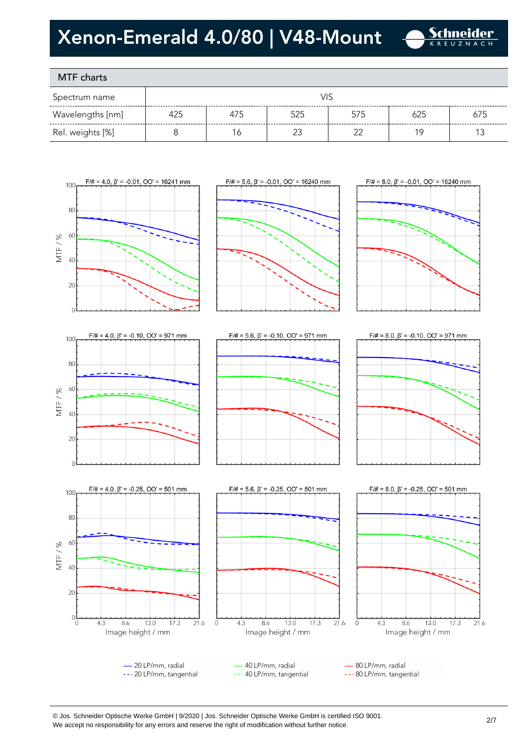

### MTF charts

| Spectrum name    |     |     |     |     |     |     |
|------------------|-----|-----|-----|-----|-----|-----|
| Wavelengths [nm] | 425 | 475 | 525 | 575 | 625 | 675 |
| Rel. weights [%] |     | 16  |     |     |     |     |









 $\mathcal{C}$ 







--- 40 LP/mm, tangential

--- 20 LP/mm, tangential



#### © Jos. Schneider Optische Werke GmbH | 9/2020 | Jos. Schneider Optische Werke GmbH is certified ISO 9001. We accept no responsibility for any errors and reserve the right of modification without further notice.<br>We accept no responsibility for any errors and reserve the right of modification without further notice.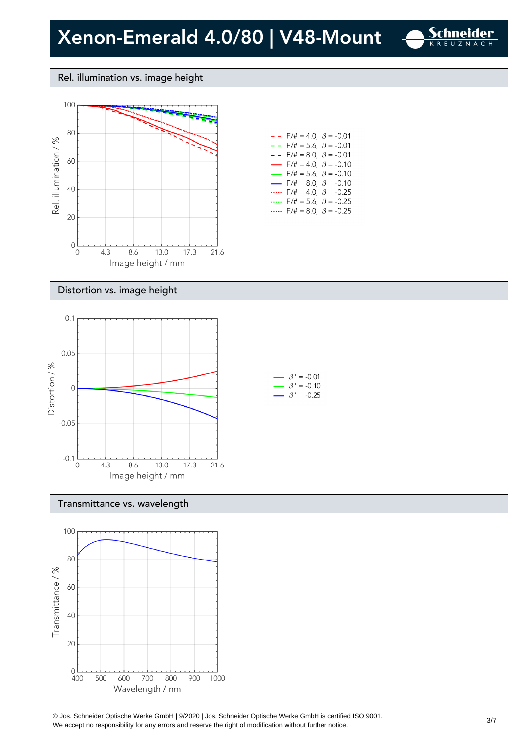

#### Rel. illumination vs. image height



| $- -$ F/# = 4.0, $\beta$ = -0.01         |  |
|------------------------------------------|--|
| $-$ - F/# = 5.6, $\beta$ = -0.01         |  |
| $- -$ F/# = 8.0, $\beta$ = -0.01         |  |
| $\rightarrow$ F/# = 4.0, $\beta$ = -0.10 |  |
| $\rightarrow$ F/# = 5.6, $\beta$ = -0.10 |  |
| $\rightarrow$ F/# = 8.0, $\beta$ = -0.10 |  |
| $F/\ddot{=} = 4.0, \ \beta = -0.25$      |  |
| F/# = 5.6, $\beta$ = -0.25               |  |
| F/# = 8.0, $\beta$ = -0.25               |  |
|                                          |  |

#### Distortion vs. image height



#### Transmittance vs. wavelength



© Jos. Schneider Optische Werke GmbH | 9/2020 | Jos. Schneider Optische Werke GmbH is certified ISO 9001.  $\degree$  Jos. Scrifielder Optiscrie werke Grillom | 9/2020 | Jos. Scrifielder Optiscrie werke Grillom is certified iSO 9001.<br>We accept no responsibility for any errors and reserve the right of modification without further noti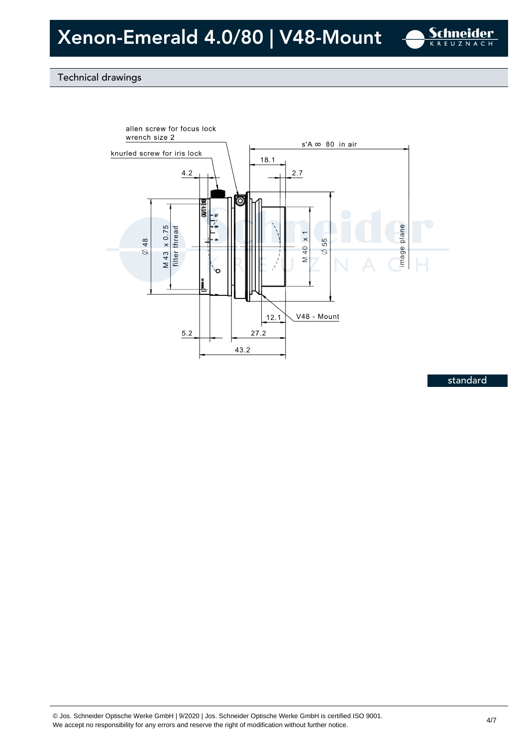

### Technical drawings



standard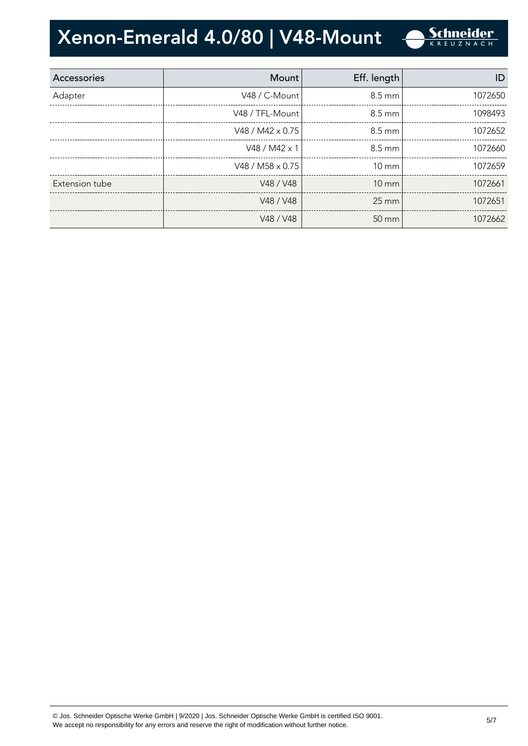| Accessories    | Mount                   | Eff. length      | ID      |
|----------------|-------------------------|------------------|---------|
| Adapter        | V48 / C-Mount           | 8.5 mm           | 1072650 |
|                | V48 / TFL-Mount         | $8.5 \text{ mm}$ | 1098493 |
|                | V48 / M42 $\times$ 0.75 | $8.5 \text{ mm}$ | 1072652 |
|                | $V48 / M42 \times 1$    | $8.5 \text{ mm}$ | 1072660 |
|                | V48 / M58 $\times$ 0.75 | $10 \text{ mm}$  | 1072659 |
| Extension tube | V48 / V48               | $10 \text{ mm}$  | 1072661 |
|                | V48 / V48               | $25 \text{ mm}$  | 1072651 |
|                | V48 / V48               | 50 mm            | 1072662 |